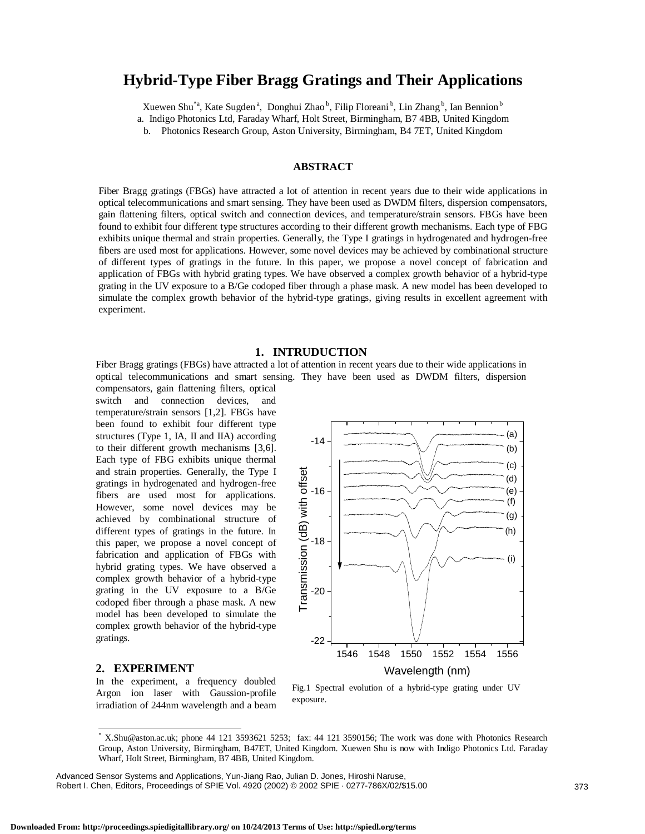# **Hybrid-Type Fiber Bragg Gratings and Their Applications**

Xuewen Shu<sup>\*a</sup>, Kate Sugden<sup>a</sup>, Donghui Zhao<sup>b</sup>, Filip Floreani<sup>b</sup>, Lin Zhang<sup>b</sup>, Ian Bennion<sup>b</sup> a. Indigo Photonics Ltd, Faraday Wharf, Holt Street, Birmingham, B7 4BB, United Kingdom

b. Photonics Research Group, Aston University, Birmingham, B4 7ET, United Kingdom

# **ABSTRACT**

Fiber Bragg gratings (FBGs) have attracted a lot of attention in recent years due to their wide applications in optical telecommunications and smart sensing. They have been used as DWDM filters, dispersion compensators, gain flattening filters, optical switch and connection devices, and temperature/strain sensors. FBGs have been found to exhibit four different type structures according to their different growth mechanisms. Each type of FBG exhibits unique thermal and strain properties. Generally, the Type I gratings in hydrogenated and hydrogen-free fibers are used most for applications. However, some novel devices may be achieved by combinational structure of different types of gratings in the future. In this paper, we propose a novel concept of fabrication and application of FBGs with hybrid grating types. We have observed a complex growth behavior of a hybrid-type grating in the UV exposure to a B/Ge codoped fiber through a phase mask. A new model has been developed to simulate the complex growth behavior of the hybrid-type gratings, giving results in excellent agreement with experiment.

## **1. INTRUDUCTION**

Fiber Bragg gratings (FBGs) have attracted a lot of attention in recent years due to their wide applications in optical telecommunications and smart sensing. They have been used as DWDM filters, dispersion

-14

compensators, gain flattening filters, optical switch and connection devices, and temperature/strain sensors [1,2]. FBGs have been found to exhibit four different type structures (Type 1, IA, II and IIA) according to their different growth mechanisms [3,6]. Each type of FBG exhibits unique thermal and strain properties. Generally, the Type I gratings in hydrogenated and hydrogen-free fibers are used most for applications. However, some novel devices may be achieved by combinational structure of different types of gratings in the future. In this paper, we propose a novel concept of fabrication and application of FBGs with hybrid grating types. We have observed a complex growth behavior of a hybrid-type grating in the UV exposure to a B/Ge codoped fiber through a phase mask. A new model has been developed to simulate the complex growth behavior of the hybrid-type gratings.

# (c) ransmission (dB) with offset Transmission (dB) with offset (d) -16 (e) (f) (g) (h) -18 (i) -20 -22 1546 1548 1550 1552 1554 1556 Wavelength (nm)

 $(h)$ (a)

# **2. EXPERIMENT**

 $\overline{\phantom{a}}$ 

In the experiment, a frequency doubled Argon ion laser with Gaussion-profile irradiation of 244nm wavelength and a beam



<sup>\*</sup> X.Shu@aston.ac.uk; phone 44 121 3593621 5253; fax: 44 121 3590156; The work was done with Photonics Research Group, Aston University, Birmingham, B47ET, United Kingdom. Xuewen Shu is now with Indigo Photonics Ltd. Faraday Wharf, Holt Street, Birmingham, B7 4BB, United Kingdom.

Advanced Sensor Systems and Applications, Yun-Jiang Rao, Julian D. Jones, Hiroshi Naruse, Robert I. Chen, Editors, Proceedings of SPIE Vol. 4920 (2002) © 2002 SPIE · 0277-786X/02/\$15.00 373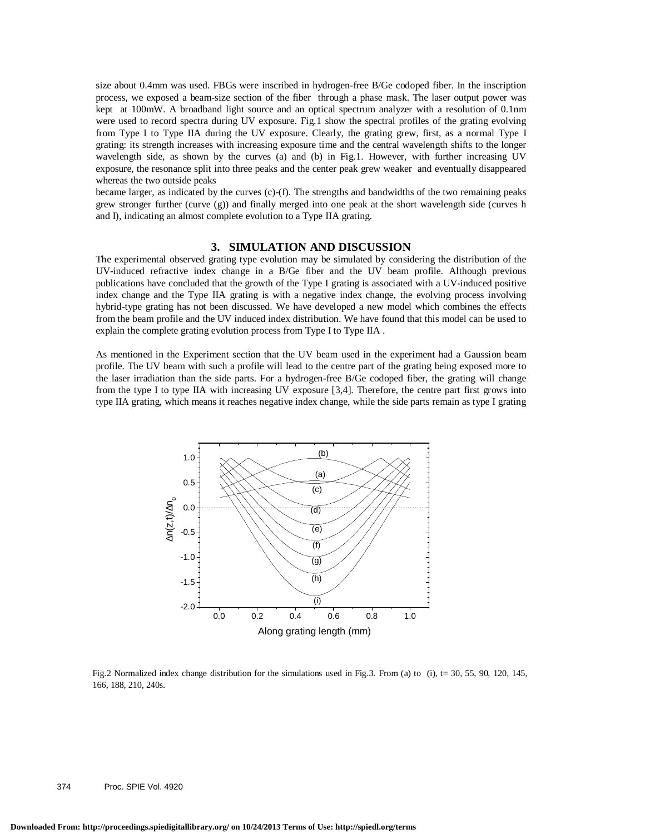size about 0.4mm was used. FBGs were inscribed in hydrogen-free B/Ge codoped fiber. In the inscription process, we exposed a beam-size section of the fiber through a phase mask. The laser output power was kept at 100mW. A broadband light source and an optical spectrum analyzer with a resolution of 0.1nm were used to record spectra during UV exposure. Fig.1 show the spectral profiles of the grating evolving from Type I to Type IIA during the UV exposure. Clearly, the grating grew, first, as a normal Type I grating: its strength increases with increasing exposure time and the central wavelength shifts to the longer wavelength side, as shown by the curves (a) and (b) in Fig.1. However, with further increasing UV exposure, the resonance split into three peaks and the center peak grew weaker and eventually disappeared whereas the two outside peaks

became larger, as indicated by the curves (c)-(f). The strengths and bandwidths of the two remaining peaks grew stronger further (curve (g)) and finally merged into one peak at the short wavelength side (curves h and I), indicating an almost complete evolution to a Type IIA grating.

### **3. SIMULATION AND DISCUSSION**

The experimental observed grating type evolution may be simulated by considering the distribution of the UV-induced refractive index change in a B/Ge fiber and the UV beam profile. Although previous publications have concluded that the growth of the Type I grating is associated with a UV-induced positive index change and the Type IIA grating is with a negative index change, the evolving process involving hybrid-type grating has not been discussed. We have developed a new model which combines the effects from the beam profile and the UV induced index distribution. We have found that this model can be used to explain the complete grating evolution process from Type I to Type IIA .

As mentioned in the Experiment section that the UV beam used in the experiment had a Gaussion beam profile. The UV beam with such a profile will lead to the centre part of the grating being exposed more to the laser irradiation than the side parts. For a hydrogen-free B/Ge codoped fiber, the grating will change from the type I to type IIA with increasing UV exposure [3,4]. Therefore, the centre part first grows into type IIA grating, which means it reaches negative index change, while the side parts remain as type I grating



Fig.2 Normalized index change distribution for the simulations used in Fig.3. From (a) to (i),  $t = 30, 55, 90, 120, 145$ , 166, 188, 210, 240s.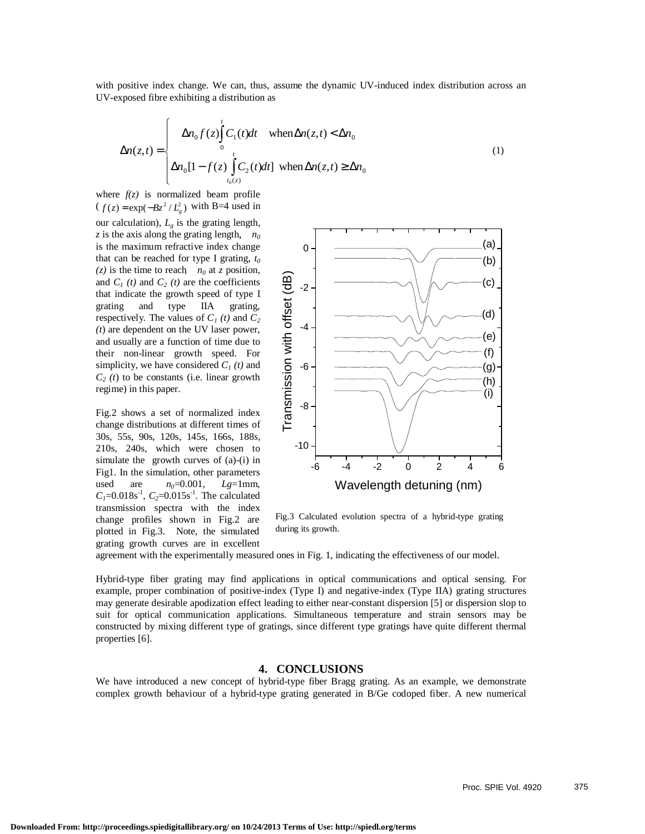with positive index change. We can, thus, assume the dynamic UV-induced index distribution across an UV-exposed fibre exhibiting a distribution as

$$
\Delta n(z,t) = \begin{cases}\n\Delta n_0 f(z) \int_0^t C_1(t) dt & \text{when } \Delta n(z,t) < \Delta n_0 \\
\Delta n_0 [1 - f(z) \int_{t_0(z)}^t C_2(t) dt] & \text{when } \Delta n(z,t) \ge \Delta n_0\n\end{cases}
$$
\n(1)

where  $f(z)$  is normalized beam profile  $(f(z) = \exp(-Bz^2/L_e^2)$  with B=4 used in

our calculation),  $L_{g}$  is the grating length, *z* is the axis along the grating length,  $n_0$ is the maximum refractive index change that can be reached for type I grating,  $t_0$  $(z)$  is the time to reach  $n_0$  at *z* position, and  $C_1(t)$  and  $C_2(t)$  are the coefficients that indicate the growth speed of type I grating and type IIA grating, respectively. The values of  $C_1(t)$  and  $C_2$ *(t*) are dependent on the UV laser power, and usually are a function of time due to their non-linear growth speed. For simplicity, we have considered  $C<sub>1</sub>(t)$  and *C2 (t*) to be constants (i.e. linear growth regime) in this paper.

Fig.2 shows a set of normalized index change distributions at different times of 30s, 55s, 90s, 120s, 145s, 166s, 188s, 210s, 240s, which were chosen to simulate the growth curves of (a)-(i) in Fig1. In the simulation, other parameters used are  $n_0=0.001$ ,  $Lg=1$ mm,  $C_1$ =0.018s<sup>-1</sup>,  $C_2$ =0.015s<sup>-1</sup>. The calculated transmission spectra with the index change profiles shown in Fig.2 are plotted in Fig.3. Note, the simulated grating growth curves are in excellent



Fig.3 Calculated evolution spectra of a hybrid-type grating during its growth.

agreement with the experimentally measured ones in Fig. 1, indicating the effectiveness of our model.

Hybrid-type fiber grating may find applications in optical communications and optical sensing. For example, proper combination of positive-index (Type I) and negative-index (Type IIA) grating structures may generate desirable apodization effect leading to either near-constant dispersion [5] or dispersion slop to suit for optical communication applications. Simultaneous temperature and strain sensors may be constructed by mixing different type of gratings, since different type gratings have quite different thermal properties [6].

# **4. CONCLUSIONS**

We have introduced a new concept of hybrid-type fiber Bragg grating. As an example, we demonstrate complex growth behaviour of a hybrid-type grating generated in B/Ge codoped fiber. A new numerical